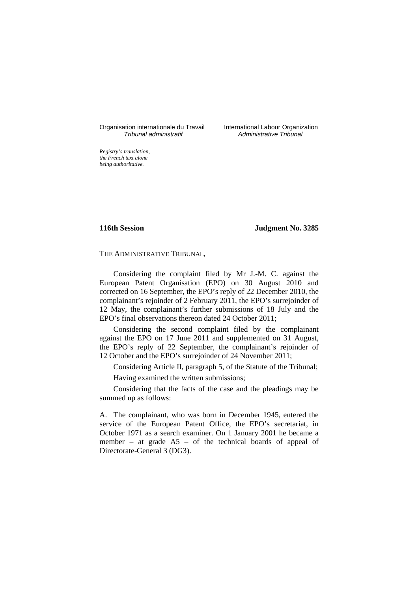# Organisation internationale du Travail International Labour Organization<br>*Tribunal administratif Administrative Tribunal*

Administrative Tribunal

*Registry's translation, the French text alone being authoritative.*

**116th Session Judgment No. 3285**

# THE ADMINISTRATIVE TRIBUNAL,

Considering the complaint filed by Mr J.-M. C. against the European Patent Organisation (EPO) on 30 August 2010 and corrected on 16 September, the EPO's reply of 22 December 2010, the complainant's rejoinder of 2 February 2011, the EPO's surrejoinder of 12 May, the complainant's further submissions of 18 July and the EPO's final observations thereon dated 24 October 2011;

Considering the second complaint filed by the complainant against the EPO on 17 June 2011 and supplemented on 31 August, the EPO's reply of 22 September, the complainant's rejoinder of 12 October and the EPO's surrejoinder of 24 November 2011;

Considering Article II, paragraph 5, of the Statute of the Tribunal; Having examined the written submissions;

Considering that the facts of the case and the pleadings may be summed up as follows:

A. The complainant, who was born in December 1945, entered the service of the European Patent Office, the EPO's secretariat, in October 1971 as a search examiner. On 1 January 2001 he became a member – at grade A5 – of the technical boards of appeal of Directorate-General 3 (DG3).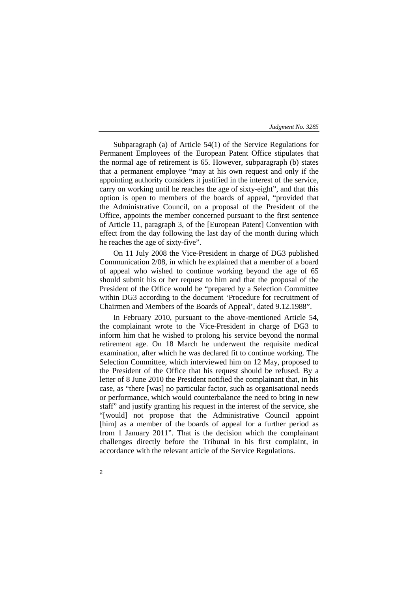Subparagraph (a) of Article 54(1) of the Service Regulations for Permanent Employees of the European Patent Office stipulates that the normal age of retirement is 65. However, subparagraph (b) states that a permanent employee "may at his own request and only if the appointing authority considers it justified in the interest of the service, carry on working until he reaches the age of sixty-eight", and that this option is open to members of the boards of appeal, "provided that the Administrative Council, on a proposal of the President of the Office, appoints the member concerned pursuant to the first sentence of Article 11, paragraph 3, of the [European Patent] Convention with effect from the day following the last day of the month during which he reaches the age of sixty-five".

On 11 July 2008 the Vice-President in charge of DG3 published Communication 2/08, in which he explained that a member of a board of appeal who wished to continue working beyond the age of 65 should submit his or her request to him and that the proposal of the President of the Office would be "prepared by a Selection Committee within DG3 according to the document 'Procedure for recruitment of Chairmen and Members of the Boards of Appeal', dated 9.12.1988".

In February 2010, pursuant to the above-mentioned Article 54, the complainant wrote to the Vice-President in charge of DG3 to inform him that he wished to prolong his service beyond the normal retirement age. On 18 March he underwent the requisite medical examination, after which he was declared fit to continue working. The Selection Committee, which interviewed him on 12 May, proposed to the President of the Office that his request should be refused. By a letter of 8 June 2010 the President notified the complainant that, in his case, as "there [was] no particular factor, such as organisational needs or performance, which would counterbalance the need to bring in new staff" and justify granting his request in the interest of the service, she "[would] not propose that the Administrative Council appoint [him] as a member of the boards of appeal for a further period as from 1 January 2011". That is the decision which the complainant challenges directly before the Tribunal in his first complaint, in accordance with the relevant article of the Service Regulations.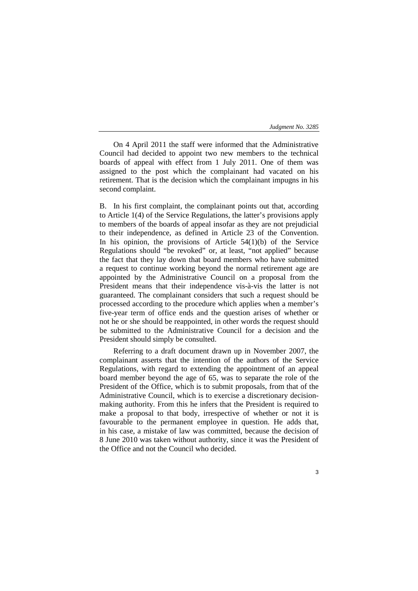On 4 April 2011 the staff were informed that the Administrative Council had decided to appoint two new members to the technical boards of appeal with effect from 1 July 2011. One of them was assigned to the post which the complainant had vacated on his retirement. That is the decision which the complainant impugns in his second complaint.

B. In his first complaint, the complainant points out that, according to Article 1(4) of the Service Regulations, the latter's provisions apply to members of the boards of appeal insofar as they are not prejudicial to their independence, as defined in Article 23 of the Convention. In his opinion, the provisions of Article  $54(1)(b)$  of the Service Regulations should "be revoked" or, at least, "not applied" because the fact that they lay down that board members who have submitted a request to continue working beyond the normal retirement age are appointed by the Administrative Council on a proposal from the President means that their independence vis-à-vis the latter is not guaranteed. The complainant considers that such a request should be processed according to the procedure which applies when a member's five-year term of office ends and the question arises of whether or not he or she should be reappointed, in other words the request should be submitted to the Administrative Council for a decision and the President should simply be consulted.

Referring to a draft document drawn up in November 2007, the complainant asserts that the intention of the authors of the Service Regulations, with regard to extending the appointment of an appeal board member beyond the age of 65, was to separate the role of the President of the Office, which is to submit proposals, from that of the Administrative Council, which is to exercise a discretionary decisionmaking authority. From this he infers that the President is required to make a proposal to that body, irrespective of whether or not it is favourable to the permanent employee in question. He adds that, in his case, a mistake of law was committed, because the decision of 8 June 2010 was taken without authority, since it was the President of the Office and not the Council who decided.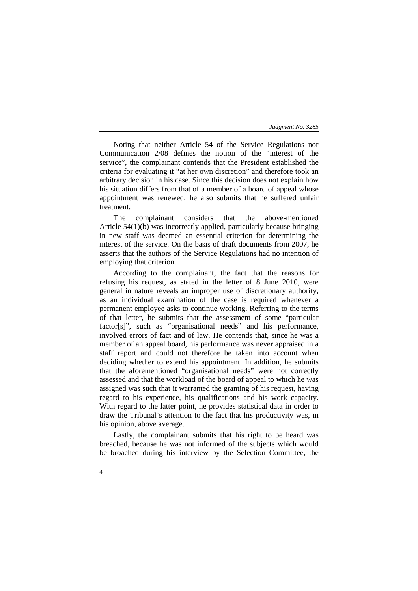Noting that neither Article 54 of the Service Regulations nor Communication 2/08 defines the notion of the "interest of the service", the complainant contends that the President established the criteria for evaluating it "at her own discretion" and therefore took an arbitrary decision in his case. Since this decision does not explain how his situation differs from that of a member of a board of appeal whose appointment was renewed, he also submits that he suffered unfair treatment.

The complainant considers that the above-mentioned Article 54(1)(b) was incorrectly applied, particularly because bringing in new staff was deemed an essential criterion for determining the interest of the service. On the basis of draft documents from 2007, he asserts that the authors of the Service Regulations had no intention of employing that criterion.

According to the complainant, the fact that the reasons for refusing his request, as stated in the letter of 8 June 2010, were general in nature reveals an improper use of discretionary authority, as an individual examination of the case is required whenever a permanent employee asks to continue working. Referring to the terms of that letter, he submits that the assessment of some "particular factor[s]", such as "organisational needs" and his performance, involved errors of fact and of law. He contends that, since he was a member of an appeal board, his performance was never appraised in a staff report and could not therefore be taken into account when deciding whether to extend his appointment. In addition, he submits that the aforementioned "organisational needs" were not correctly assessed and that the workload of the board of appeal to which he was assigned was such that it warranted the granting of his request, having regard to his experience, his qualifications and his work capacity. With regard to the latter point, he provides statistical data in order to draw the Tribunal's attention to the fact that his productivity was, in his opinion, above average.

Lastly, the complainant submits that his right to be heard was breached, because he was not informed of the subjects which would be broached during his interview by the Selection Committee, the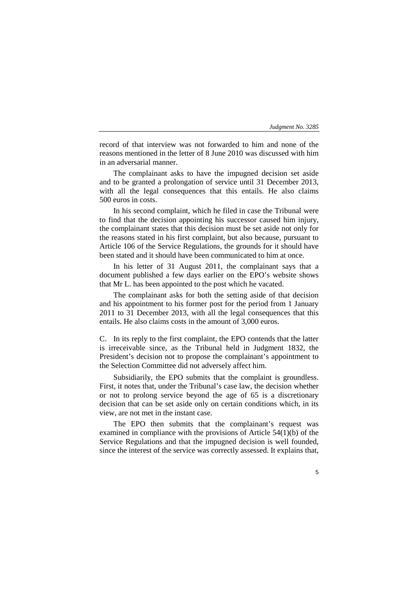record of that interview was not forwarded to him and none of the reasons mentioned in the letter of 8 June 2010 was discussed with him in an adversarial manner.

The complainant asks to have the impugned decision set aside and to be granted a prolongation of service until 31 December 2013, with all the legal consequences that this entails. He also claims 500 euros in costs.

In his second complaint, which he filed in case the Tribunal were to find that the decision appointing his successor caused him injury, the complainant states that this decision must be set aside not only for the reasons stated in his first complaint, but also because, pursuant to Article 106 of the Service Regulations, the grounds for it should have been stated and it should have been communicated to him at once.

In his letter of 31 August 2011, the complainant says that a document published a few days earlier on the EPO's website shows that Mr L. has been appointed to the post which he vacated.

The complainant asks for both the setting aside of that decision and his appointment to his former post for the period from 1 January 2011 to 31 December 2013, with all the legal consequences that this entails. He also claims costs in the amount of 3,000 euros.

C. In its reply to the first complaint, the EPO contends that the latter is irreceivable since, as the Tribunal held in Judgment 1832, the President's decision not to propose the complainant's appointment to the Selection Committee did not adversely affect him.

Subsidiarily, the EPO submits that the complaint is groundless. First, it notes that, under the Tribunal's case law, the decision whether or not to prolong service beyond the age of 65 is a discretionary decision that can be set aside only on certain conditions which, in its view, are not met in the instant case.

The EPO then submits that the complainant's request was examined in compliance with the provisions of Article 54(1)(b) of the Service Regulations and that the impugned decision is well founded, since the interest of the service was correctly assessed. It explains that,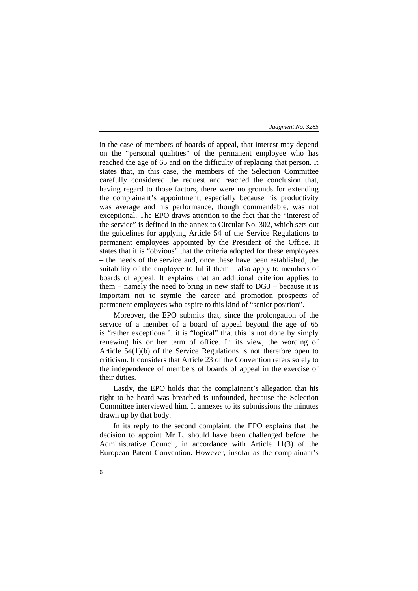in the case of members of boards of appeal, that interest may depend on the "personal qualities" of the permanent employee who has reached the age of 65 and on the difficulty of replacing that person. It states that, in this case, the members of the Selection Committee carefully considered the request and reached the conclusion that, having regard to those factors, there were no grounds for extending the complainant's appointment, especially because his productivity was average and his performance, though commendable, was not exceptional. The EPO draws attention to the fact that the "interest of the service" is defined in the annex to Circular No. 302, which sets out the guidelines for applying Article 54 of the Service Regulations to permanent employees appointed by the President of the Office. It states that it is "obvious" that the criteria adopted for these employees – the needs of the service and, once these have been established, the suitability of the employee to fulfil them – also apply to members of boards of appeal. It explains that an additional criterion applies to them – namely the need to bring in new staff to  $DG3$  – because it is important not to stymie the career and promotion prospects of permanent employees who aspire to this kind of "senior position".

Moreover, the EPO submits that, since the prolongation of the service of a member of a board of appeal beyond the age of 65 is "rather exceptional", it is "logical" that this is not done by simply renewing his or her term of office. In its view, the wording of Article 54(1)(b) of the Service Regulations is not therefore open to criticism. It considers that Article 23 of the Convention refers solely to the independence of members of boards of appeal in the exercise of their duties.

Lastly, the EPO holds that the complainant's allegation that his right to be heard was breached is unfounded, because the Selection Committee interviewed him. It annexes to its submissions the minutes drawn up by that body.

In its reply to the second complaint, the EPO explains that the decision to appoint Mr L. should have been challenged before the Administrative Council, in accordance with Article 11(3) of the European Patent Convention. However, insofar as the complainant's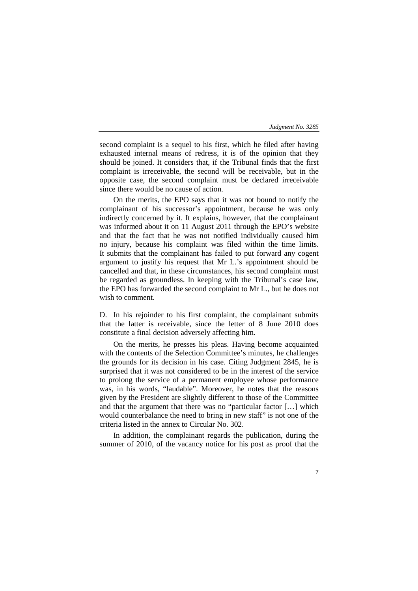second complaint is a sequel to his first, which he filed after having exhausted internal means of redress, it is of the opinion that they should be joined. It considers that, if the Tribunal finds that the first complaint is irreceivable, the second will be receivable, but in the opposite case, the second complaint must be declared irreceivable since there would be no cause of action.

On the merits, the EPO says that it was not bound to notify the complainant of his successor's appointment, because he was only indirectly concerned by it. It explains, however, that the complainant was informed about it on 11 August 2011 through the EPO's website and that the fact that he was not notified individually caused him no injury, because his complaint was filed within the time limits. It submits that the complainant has failed to put forward any cogent argument to justify his request that Mr L.'s appointment should be cancelled and that, in these circumstances, his second complaint must be regarded as groundless. In keeping with the Tribunal's case law, the EPO has forwarded the second complaint to Mr L., but he does not wish to comment.

D. In his rejoinder to his first complaint, the complainant submits that the latter is receivable, since the letter of 8 June 2010 does constitute a final decision adversely affecting him.

On the merits, he presses his pleas. Having become acquainted with the contents of the Selection Committee's minutes, he challenges the grounds for its decision in his case. Citing Judgment 2845, he is surprised that it was not considered to be in the interest of the service to prolong the service of a permanent employee whose performance was, in his words, "laudable". Moreover, he notes that the reasons given by the President are slightly different to those of the Committee and that the argument that there was no "particular factor […] which would counterbalance the need to bring in new staff" is not one of the criteria listed in the annex to Circular No. 302.

In addition, the complainant regards the publication, during the summer of 2010, of the vacancy notice for his post as proof that the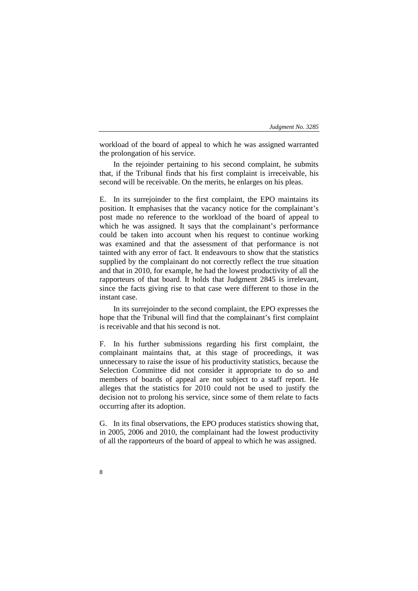workload of the board of appeal to which he was assigned warranted the prolongation of his service.

In the rejoinder pertaining to his second complaint, he submits that, if the Tribunal finds that his first complaint is irreceivable, his second will be receivable. On the merits, he enlarges on his pleas.

E. In its surrejoinder to the first complaint, the EPO maintains its position. It emphasises that the vacancy notice for the complainant's post made no reference to the workload of the board of appeal to which he was assigned. It says that the complainant's performance could be taken into account when his request to continue working was examined and that the assessment of that performance is not tainted with any error of fact. It endeavours to show that the statistics supplied by the complainant do not correctly reflect the true situation and that in 2010, for example, he had the lowest productivity of all the rapporteurs of that board. It holds that Judgment 2845 is irrelevant, since the facts giving rise to that case were different to those in the instant case.

In its surrejoinder to the second complaint, the EPO expresses the hope that the Tribunal will find that the complainant's first complaint is receivable and that his second is not.

F. In his further submissions regarding his first complaint, the complainant maintains that, at this stage of proceedings, it was unnecessary to raise the issue of his productivity statistics, because the Selection Committee did not consider it appropriate to do so and members of boards of appeal are not subject to a staff report. He alleges that the statistics for 2010 could not be used to justify the decision not to prolong his service, since some of them relate to facts occurring after its adoption.

G. In its final observations, the EPO produces statistics showing that, in 2005, 2006 and 2010, the complainant had the lowest productivity of all the rapporteurs of the board of appeal to which he was assigned.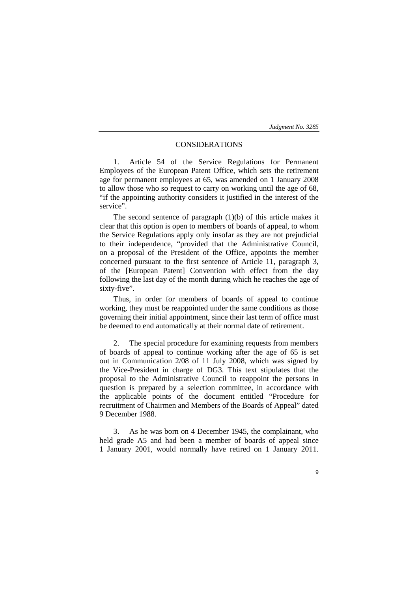# CONSIDERATIONS

1. Article 54 of the Service Regulations for Permanent Employees of the European Patent Office, which sets the retirement age for permanent employees at 65, was amended on 1 January 2008 to allow those who so request to carry on working until the age of 68, "if the appointing authority considers it justified in the interest of the service".

The second sentence of paragraph  $(1)(b)$  of this article makes it clear that this option is open to members of boards of appeal, to whom the Service Regulations apply only insofar as they are not prejudicial to their independence, "provided that the Administrative Council, on a proposal of the President of the Office, appoints the member concerned pursuant to the first sentence of Article 11, paragraph 3, of the [European Patent] Convention with effect from the day following the last day of the month during which he reaches the age of sixty-five".

Thus, in order for members of boards of appeal to continue working, they must be reappointed under the same conditions as those governing their initial appointment, since their last term of office must be deemed to end automatically at their normal date of retirement.

2. The special procedure for examining requests from members of boards of appeal to continue working after the age of 65 is set out in Communication 2/08 of 11 July 2008, which was signed by the Vice-President in charge of DG3. This text stipulates that the proposal to the Administrative Council to reappoint the persons in question is prepared by a selection committee, in accordance with the applicable points of the document entitled "Procedure for recruitment of Chairmen and Members of the Boards of Appeal" dated 9 December 1988.

3. As he was born on 4 December 1945, the complainant, who held grade A5 and had been a member of boards of appeal since 1 January 2001, would normally have retired on 1 January 2011.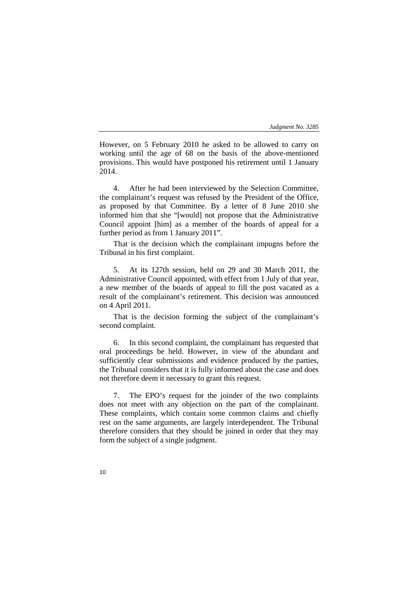However, on 5 February 2010 he asked to be allowed to carry on working until the age of 68 on the basis of the above-mentioned provisions. This would have postponed his retirement until 1 January 2014.

4. After he had been interviewed by the Selection Committee, the complainant's request was refused by the President of the Office, as proposed by that Committee. By a letter of 8 June 2010 she informed him that she "[would] not propose that the Administrative Council appoint [him] as a member of the boards of appeal for a further period as from 1 January 2011".

That is the decision which the complainant impugns before the Tribunal in his first complaint.

5. At its 127th session, held on 29 and 30 March 2011, the Administrative Council appointed, with effect from 1 July of that year, a new member of the boards of appeal to fill the post vacated as a result of the complainant's retirement. This decision was announced on 4 April 2011.

That is the decision forming the subject of the complainant's second complaint.

6. In this second complaint, the complainant has requested that oral proceedings be held. However, in view of the abundant and sufficiently clear submissions and evidence produced by the parties, the Tribunal considers that it is fully informed about the case and does not therefore deem it necessary to grant this request.

7. The EPO's request for the joinder of the two complaints does not meet with any objection on the part of the complainant. These complaints, which contain some common claims and chiefly rest on the same arguments, are largely interdependent. The Tribunal therefore considers that they should be joined in order that they may form the subject of a single judgment.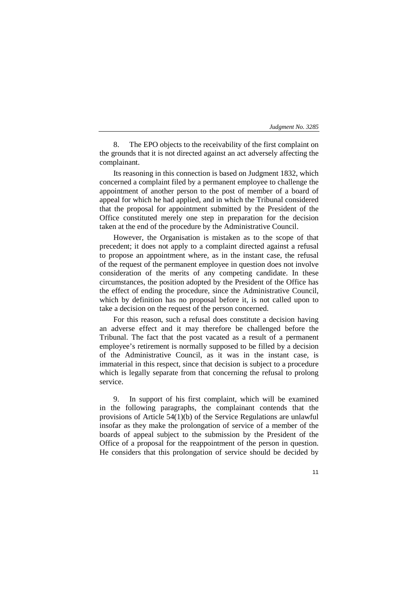| Judgment No. 3285 |
|-------------------|
|-------------------|

8. The EPO objects to the receivability of the first complaint on the grounds that it is not directed against an act adversely affecting the complainant.

Its reasoning in this connection is based on Judgment 1832, which concerned a complaint filed by a permanent employee to challenge the appointment of another person to the post of member of a board of appeal for which he had applied, and in which the Tribunal considered that the proposal for appointment submitted by the President of the Office constituted merely one step in preparation for the decision taken at the end of the procedure by the Administrative Council.

However, the Organisation is mistaken as to the scope of that precedent; it does not apply to a complaint directed against a refusal to propose an appointment where, as in the instant case, the refusal of the request of the permanent employee in question does not involve consideration of the merits of any competing candidate. In these circumstances, the position adopted by the President of the Office has the effect of ending the procedure, since the Administrative Council, which by definition has no proposal before it, is not called upon to take a decision on the request of the person concerned.

For this reason, such a refusal does constitute a decision having an adverse effect and it may therefore be challenged before the Tribunal. The fact that the post vacated as a result of a permanent employee's retirement is normally supposed to be filled by a decision of the Administrative Council, as it was in the instant case, is immaterial in this respect, since that decision is subject to a procedure which is legally separate from that concerning the refusal to prolong service.

9. In support of his first complaint, which will be examined in the following paragraphs, the complainant contends that the provisions of Article 54(1)(b) of the Service Regulations are unlawful insofar as they make the prolongation of service of a member of the boards of appeal subject to the submission by the President of the Office of a proposal for the reappointment of the person in question. He considers that this prolongation of service should be decided by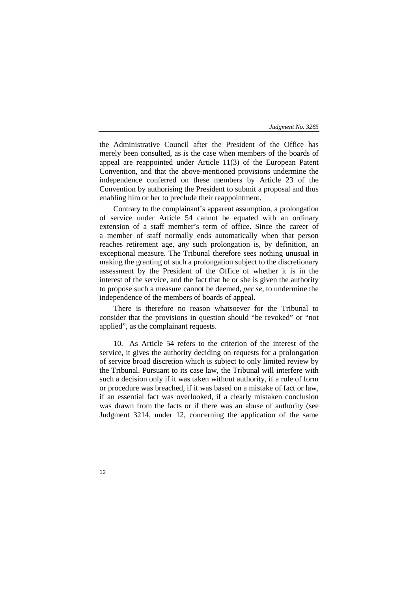the Administrative Council after the President of the Office has merely been consulted, as is the case when members of the boards of appeal are reappointed under Article 11(3) of the European Patent Convention, and that the above-mentioned provisions undermine the independence conferred on these members by Article 23 of the Convention by authorising the President to submit a proposal and thus enabling him or her to preclude their reappointment.

Contrary to the complainant's apparent assumption, a prolongation of service under Article 54 cannot be equated with an ordinary extension of a staff member's term of office. Since the career of a member of staff normally ends automatically when that person reaches retirement age, any such prolongation is, by definition, an exceptional measure. The Tribunal therefore sees nothing unusual in making the granting of such a prolongation subject to the discretionary assessment by the President of the Office of whether it is in the interest of the service, and the fact that he or she is given the authority to propose such a measure cannot be deemed, *per se*, to undermine the independence of the members of boards of appeal.

There is therefore no reason whatsoever for the Tribunal to consider that the provisions in question should "be revoked" or "not applied", as the complainant requests.

10. As Article 54 refers to the criterion of the interest of the service, it gives the authority deciding on requests for a prolongation of service broad discretion which is subject to only limited review by the Tribunal. Pursuant to its case law, the Tribunal will interfere with such a decision only if it was taken without authority, if a rule of form or procedure was breached, if it was based on a mistake of fact or law, if an essential fact was overlooked, if a clearly mistaken conclusion was drawn from the facts or if there was an abuse of authority (see Judgment 3214, under 12, concerning the application of the same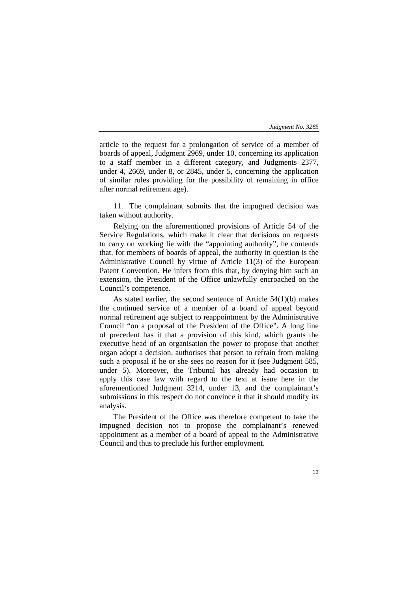article to the request for a prolongation of service of a member of boards of appeal, Judgment 2969, under 10, concerning its application to a staff member in a different category, and Judgments 2377, under 4, 2669, under 8, or 2845, under 5, concerning the application of similar rules providing for the possibility of remaining in office after normal retirement age).

11. The complainant submits that the impugned decision was taken without authority.

Relying on the aforementioned provisions of Article 54 of the Service Regulations, which make it clear that decisions on requests to carry on working lie with the "appointing authority", he contends that, for members of boards of appeal, the authority in question is the Administrative Council by virtue of Article 11(3) of the European Patent Convention. He infers from this that, by denying him such an extension, the President of the Office unlawfully encroached on the Council's competence.

As stated earlier, the second sentence of Article 54(1)(b) makes the continued service of a member of a board of appeal beyond normal retirement age subject to reappointment by the Administrative Council "on a proposal of the President of the Office". A long line of precedent has it that a provision of this kind, which grants the executive head of an organisation the power to propose that another organ adopt a decision, authorises that person to refrain from making such a proposal if he or she sees no reason for it (see Judgment 585, under 5). Moreover, the Tribunal has already had occasion to apply this case law with regard to the text at issue here in the aforementioned Judgment 3214, under 13, and the complainant's submissions in this respect do not convince it that it should modify its analysis.

The President of the Office was therefore competent to take the impugned decision not to propose the complainant's renewed appointment as a member of a board of appeal to the Administrative Council and thus to preclude his further employment.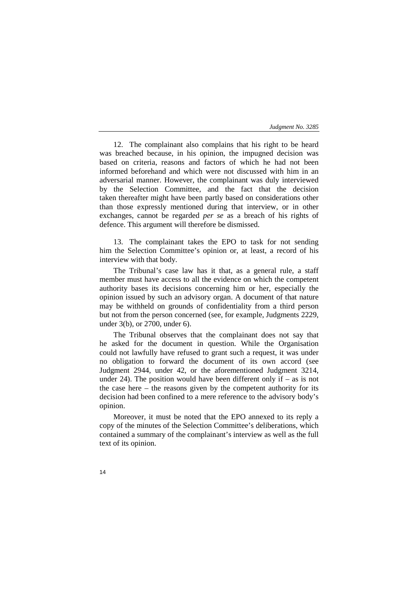12. The complainant also complains that his right to be heard was breached because, in his opinion, the impugned decision was based on criteria, reasons and factors of which he had not been informed beforehand and which were not discussed with him in an adversarial manner. However, the complainant was duly interviewed by the Selection Committee, and the fact that the decision taken thereafter might have been partly based on considerations other than those expressly mentioned during that interview, or in other exchanges, cannot be regarded *per se* as a breach of his rights of defence. This argument will therefore be dismissed.

13. The complainant takes the EPO to task for not sending him the Selection Committee's opinion or, at least, a record of his interview with that body.

The Tribunal's case law has it that, as a general rule, a staff member must have access to all the evidence on which the competent authority bases its decisions concerning him or her, especially the opinion issued by such an advisory organ. A document of that nature may be withheld on grounds of confidentiality from a third person but not from the person concerned (see, for example, Judgments 2229, under 3(b), or 2700, under 6).

The Tribunal observes that the complainant does not say that he asked for the document in question. While the Organisation could not lawfully have refused to grant such a request, it was under no obligation to forward the document of its own accord (see Judgment 2944, under 42, or the aforementioned Judgment 3214, under 24). The position would have been different only if  $-$  as is not the case here – the reasons given by the competent authority for its decision had been confined to a mere reference to the advisory body's opinion.

Moreover, it must be noted that the EPO annexed to its reply a copy of the minutes of the Selection Committee's deliberations, which contained a summary of the complainant's interview as well as the full text of its opinion.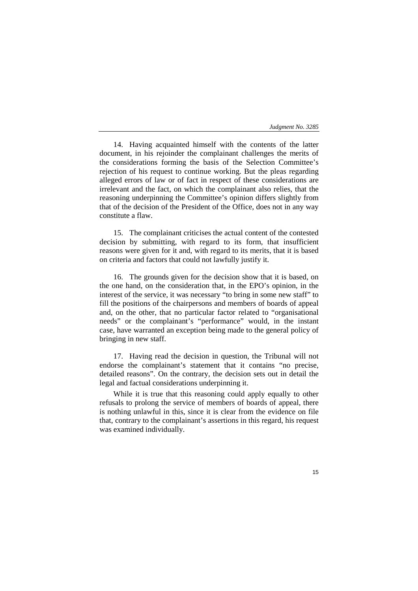14. Having acquainted himself with the contents of the latter document, in his rejoinder the complainant challenges the merits of the considerations forming the basis of the Selection Committee's rejection of his request to continue working. But the pleas regarding alleged errors of law or of fact in respect of these considerations are irrelevant and the fact, on which the complainant also relies, that the reasoning underpinning the Committee's opinion differs slightly from that of the decision of the President of the Office, does not in any way constitute a flaw.

15. The complainant criticises the actual content of the contested decision by submitting, with regard to its form, that insufficient reasons were given for it and, with regard to its merits, that it is based on criteria and factors that could not lawfully justify it.

16. The grounds given for the decision show that it is based, on the one hand, on the consideration that, in the EPO's opinion, in the interest of the service, it was necessary "to bring in some new staff" to fill the positions of the chairpersons and members of boards of appeal and, on the other, that no particular factor related to "organisational needs" or the complainant's "performance" would, in the instant case, have warranted an exception being made to the general policy of bringing in new staff.

17. Having read the decision in question, the Tribunal will not endorse the complainant's statement that it contains "no precise, detailed reasons". On the contrary, the decision sets out in detail the legal and factual considerations underpinning it.

While it is true that this reasoning could apply equally to other refusals to prolong the service of members of boards of appeal, there is nothing unlawful in this, since it is clear from the evidence on file that, contrary to the complainant's assertions in this regard, his request was examined individually.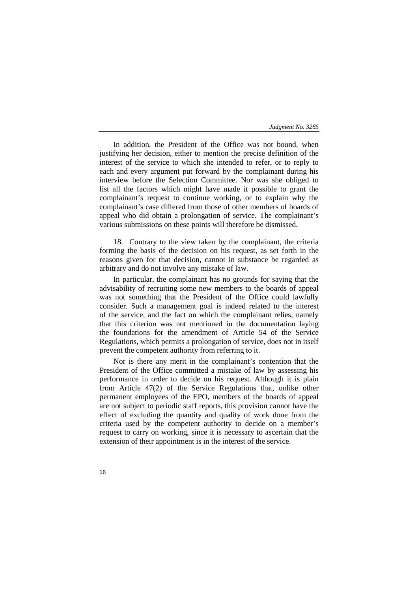In addition, the President of the Office was not bound, when justifying her decision, either to mention the precise definition of the interest of the service to which she intended to refer, or to reply to each and every argument put forward by the complainant during his interview before the Selection Committee. Nor was she obliged to list all the factors which might have made it possible to grant the complainant's request to continue working, or to explain why the complainant's case differed from those of other members of boards of appeal who did obtain a prolongation of service. The complainant's various submissions on these points will therefore be dismissed.

18. Contrary to the view taken by the complainant, the criteria forming the basis of the decision on his request, as set forth in the reasons given for that decision, cannot in substance be regarded as arbitrary and do not involve any mistake of law.

In particular, the complainant has no grounds for saying that the advisability of recruiting some new members to the boards of appeal was not something that the President of the Office could lawfully consider. Such a management goal is indeed related to the interest of the service, and the fact on which the complainant relies, namely that this criterion was not mentioned in the documentation laying the foundations for the amendment of Article 54 of the Service Regulations, which permits a prolongation of service, does not in itself prevent the competent authority from referring to it.

Nor is there any merit in the complainant's contention that the President of the Office committed a mistake of law by assessing his performance in order to decide on his request. Although it is plain from Article 47(2) of the Service Regulations that, unlike other permanent employees of the EPO, members of the boards of appeal are not subject to periodic staff reports, this provision cannot have the effect of excluding the quantity and quality of work done from the criteria used by the competent authority to decide on a member's request to carry on working, since it is necessary to ascertain that the extension of their appointment is in the interest of the service.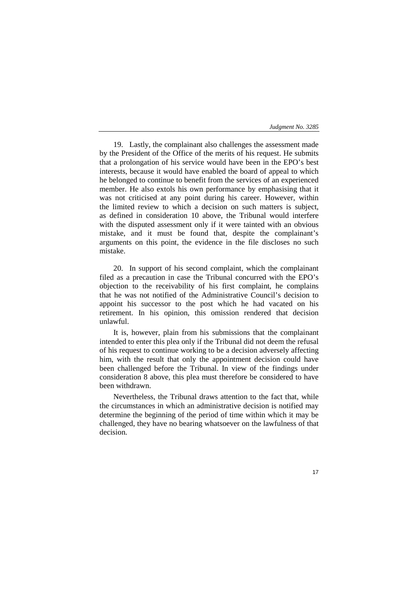19. Lastly, the complainant also challenges the assessment made by the President of the Office of the merits of his request. He submits that a prolongation of his service would have been in the EPO's best interests, because it would have enabled the board of appeal to which he belonged to continue to benefit from the services of an experienced member. He also extols his own performance by emphasising that it was not criticised at any point during his career. However, within the limited review to which a decision on such matters is subject, as defined in consideration 10 above, the Tribunal would interfere with the disputed assessment only if it were tainted with an obvious mistake, and it must be found that, despite the complainant's arguments on this point, the evidence in the file discloses no such mistake.

20. In support of his second complaint, which the complainant filed as a precaution in case the Tribunal concurred with the EPO's objection to the receivability of his first complaint, he complains that he was not notified of the Administrative Council's decision to appoint his successor to the post which he had vacated on his retirement. In his opinion, this omission rendered that decision unlawful.

It is, however, plain from his submissions that the complainant intended to enter this plea only if the Tribunal did not deem the refusal of his request to continue working to be a decision adversely affecting him, with the result that only the appointment decision could have been challenged before the Tribunal. In view of the findings under consideration 8 above, this plea must therefore be considered to have been withdrawn.

Nevertheless, the Tribunal draws attention to the fact that, while the circumstances in which an administrative decision is notified may determine the beginning of the period of time within which it may be challenged, they have no bearing whatsoever on the lawfulness of that decision.